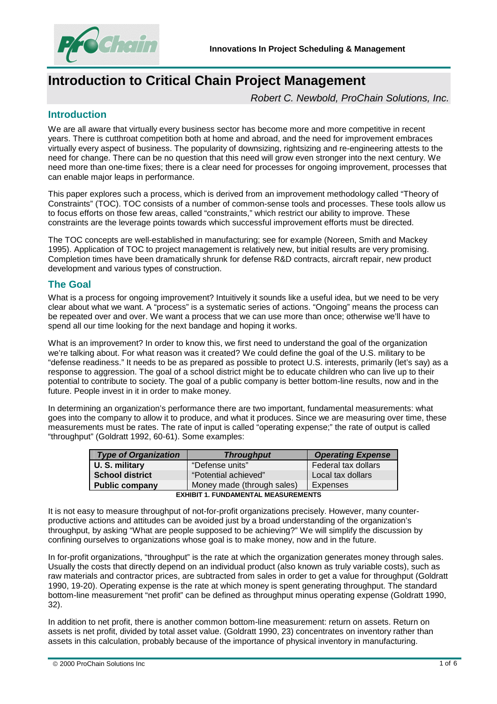

# **Introduction to Critical Chain Project Management**

*Robert C. Newbold, ProChain Solutions, Inc.* 

## **Introduction**

We are all aware that virtually every business sector has become more and more competitive in recent years. There is cutthroat competition both at home and abroad, and the need for improvement embraces virtually every aspect of business. The popularity of downsizing, rightsizing and re-engineering attests to the need for change. There can be no question that this need will grow even stronger into the next century. We need more than one-time fixes; there is a clear need for processes for ongoing improvement, processes that can enable major leaps in performance.

This paper explores such a process, which is derived from an improvement methodology called "Theory of Constraints" (TOC). TOC consists of a number of common-sense tools and processes. These tools allow us to focus efforts on those few areas, called "constraints," which restrict our ability to improve. These constraints are the leverage points towards which successful improvement efforts must be directed.

The TOC concepts are well-established in manufacturing; see for example (Noreen, Smith and Mackey 1995). Application of TOC to project management is relatively new, but initial results are very promising. Completion times have been dramatically shrunk for defense R&D contracts, aircraft repair, new product development and various types of construction.

# **The Goal**

What is a process for ongoing improvement? Intuitively it sounds like a useful idea, but we need to be very clear about what we want. A "process" is a systematic series of actions. "Ongoing" means the process can be repeated over and over. We want a process that we can use more than once; otherwise we'll have to spend all our time looking for the next bandage and hoping it works.

What is an improvement? In order to know this, we first need to understand the goal of the organization we're talking about. For what reason was it created? We could define the goal of the U.S. military to be "defense readiness." It needs to be as prepared as possible to protect U.S. interests, primarily (let's say) as a response to aggression. The goal of a school district might be to educate children who can live up to their potential to contribute to society. The goal of a public company is better bottom-line results, now and in the future. People invest in it in order to make money.

In determining an organization's performance there are two important, fundamental measurements: what goes into the company to allow it to produce, and what it produces. Since we are measuring over time, these measurements must be rates. The rate of input is called "operating expense;" the rate of output is called "throughput" (Goldratt 1992, 60-61). Some examples:

| <b>Type of Organization</b>                | <b>Throughput</b>          | <b>Operating Expense</b> |
|--------------------------------------------|----------------------------|--------------------------|
| U. S. military                             | "Defense units"            | Federal tax dollars      |
| <b>School district</b>                     | "Potential achieved"       | Local tax dollars        |
| <b>Public company</b>                      | Money made (through sales) | Expenses                 |
| <b>EXHIBIT 1. FUNDAMENTAL MEASUREMENTS</b> |                            |                          |

It is not easy to measure throughput of not-for-profit organizations precisely. However, many counterproductive actions and attitudes can be avoided just by a broad understanding of the organization's throughput, by asking "What are people supposed to be achieving?" We will simplify the discussion by confining ourselves to organizations whose goal is to make money, now and in the future.

In for-profit organizations, "throughput" is the rate at which the organization generates money through sales. Usually the costs that directly depend on an individual product (also known as truly variable costs), such as raw materials and contractor prices, are subtracted from sales in order to get a value for throughput (Goldratt 1990, 19-20). Operating expense is the rate at which money is spent generating throughput. The standard bottom-line measurement "net profit" can be defined as throughput minus operating expense (Goldratt 1990, 32).

In addition to net profit, there is another common bottom-line measurement: return on assets. Return on assets is net profit, divided by total asset value. (Goldratt 1990, 23) concentrates on inventory rather than assets in this calculation, probably because of the importance of physical inventory in manufacturing.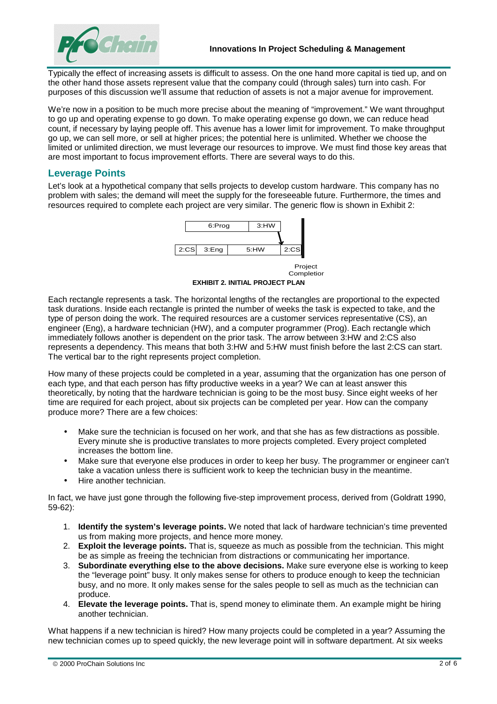

Typically the effect of increasing assets is difficult to assess. On the one hand more capital is tied up, and on the other hand those assets represent value that the company could (through sales) turn into cash. For purposes of this discussion we'll assume that reduction of assets is not a major avenue for improvement.

We're now in a position to be much more precise about the meaning of "improvement." We want throughput to go up and operating expense to go down. To make operating expense go down, we can reduce head count, if necessary by laying people off. This avenue has a lower limit for improvement. To make throughput go up, we can sell more, or sell at higher prices; the potential here is unlimited. Whether we choose the limited or unlimited direction, we must leverage our resources to improve. We must find those key areas that are most important to focus improvement efforts. There are several ways to do this.

## **Leverage Points**

Let's look at a hypothetical company that sells projects to develop custom hardware. This company has no problem with sales; the demand will meet the supply for the foreseeable future. Furthermore, the times and resources required to complete each project are very similar. The generic flow is shown in Exhibit 2:



Project **Completior** 

**EXHIBIT 2. INITIAL PROJECT PLAN** 

Each rectangle represents a task. The horizontal lengths of the rectangles are proportional to the expected task durations. Inside each rectangle is printed the number of weeks the task is expected to take, and the type of person doing the work. The required resources are a customer services representative (CS), an engineer (Eng), a hardware technician (HW), and a computer programmer (Prog). Each rectangle which immediately follows another is dependent on the prior task. The arrow between 3:HW and 2:CS also represents a dependency. This means that both 3:HW and 5:HW must finish before the last 2:CS can start. The vertical bar to the right represents project completion.

How many of these projects could be completed in a year, assuming that the organization has one person of each type, and that each person has fifty productive weeks in a year? We can at least answer this theoretically, by noting that the hardware technician is going to be the most busy. Since eight weeks of her time are required for each project, about six projects can be completed per year. How can the company produce more? There are a few choices:

- Make sure the technician is focused on her work, and that she has as few distractions as possible. Every minute she is productive translates to more projects completed. Every project completed increases the bottom line.
- Make sure that everyone else produces in order to keep her busy. The programmer or engineer can't take a vacation unless there is sufficient work to keep the technician busy in the meantime.
- Hire another technician.

In fact, we have just gone through the following five-step improvement process, derived from (Goldratt 1990, 59-62):

- 1. **Identify the system's leverage points.** We noted that lack of hardware technician's time prevented us from making more projects, and hence more money.
- 2. **Exploit the leverage points.** That is, squeeze as much as possible from the technician. This might be as simple as freeing the technician from distractions or communicating her importance.
- 3. **Subordinate everything else to the above decisions.** Make sure everyone else is working to keep the "leverage point" busy. It only makes sense for others to produce enough to keep the technician busy, and no more. It only makes sense for the sales people to sell as much as the technician can produce.
- 4. **Elevate the leverage points.** That is, spend money to eliminate them. An example might be hiring another technician.

What happens if a new technician is hired? How many projects could be completed in a year? Assuming the new technician comes up to speed quickly, the new leverage point will in software department. At six weeks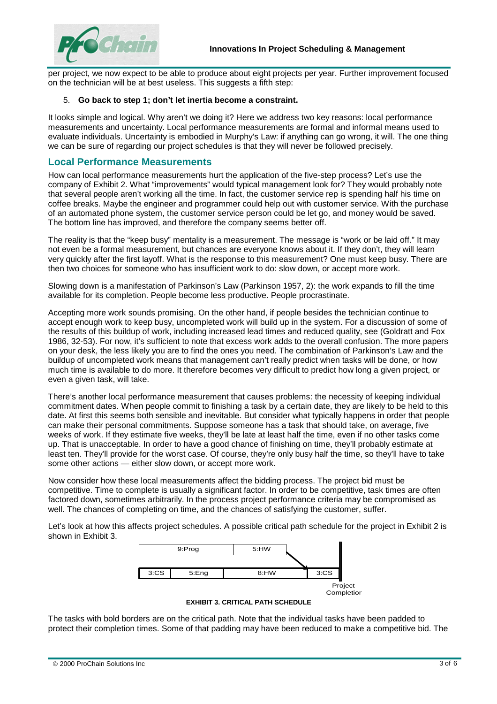

per project, we now expect to be able to produce about eight projects per year. Further improvement focused on the technician will be at best useless. This suggests a fifth step:

#### 5. **Go back to step 1; don't let inertia become a constraint.**

It looks simple and logical. Why aren't we doing it? Here we address two key reasons: local performance measurements and uncertainty. Local performance measurements are formal and informal means used to evaluate individuals. Uncertainty is embodied in Murphy's Law: if anything can go wrong, it will. The one thing we can be sure of regarding our project schedules is that they will never be followed precisely.

### **Local Performance Measurements**

How can local performance measurements hurt the application of the five-step process? Let's use the company of Exhibit 2. What "improvements" would typical management look for? They would probably note that several people aren't working all the time. In fact, the customer service rep is spending half his time on coffee breaks. Maybe the engineer and programmer could help out with customer service. With the purchase of an automated phone system, the customer service person could be let go, and money would be saved. The bottom line has improved, and therefore the company seems better off.

The reality is that the "keep busy" mentality is a measurement. The message is "work or be laid off." It may not even be a formal measurement, but chances are everyone knows about it. If they don't, they will learn very quickly after the first layoff. What is the response to this measurement? One must keep busy. There are then two choices for someone who has insufficient work to do: slow down, or accept more work.

Slowing down is a manifestation of Parkinson's Law (Parkinson 1957, 2): the work expands to fill the time available for its completion. People become less productive. People procrastinate.

Accepting more work sounds promising. On the other hand, if people besides the technician continue to accept enough work to keep busy, uncompleted work will build up in the system. For a discussion of some of the results of this buildup of work, including increased lead times and reduced quality, see (Goldratt and Fox 1986, 32-53). For now, it's sufficient to note that excess work adds to the overall confusion. The more papers on your desk, the less likely you are to find the ones you need. The combination of Parkinson's Law and the buildup of uncompleted work means that management can't really predict when tasks will be done, or how much time is available to do more. It therefore becomes very difficult to predict how long a given project, or even a given task, will take.

There's another local performance measurement that causes problems: the necessity of keeping individual commitment dates. When people commit to finishing a task by a certain date, they are likely to be held to this date. At first this seems both sensible and inevitable. But consider what typically happens in order that people can make their personal commitments. Suppose someone has a task that should take, on average, five weeks of work. If they estimate five weeks, they'll be late at least half the time, even if no other tasks come up. That is unacceptable. In order to have a good chance of finishing on time, they'll probably estimate at least ten. They'll provide for the worst case. Of course, they're only busy half the time, so they'll have to take some other actions — either slow down, or accept more work.

Now consider how these local measurements affect the bidding process. The project bid must be competitive. Time to complete is usually a significant factor. In order to be competitive, task times are often factored down, sometimes arbitrarily. In the process project performance criteria may be compromised as well. The chances of completing on time, and the chances of satisfying the customer, suffer.

Let's look at how this affects project schedules. A possible critical path schedule for the project in Exhibit 2 is shown in Exhibit 3.



**EXHIBIT 3. CRITICAL PATH SCHEDULE** 

The tasks with bold borders are on the critical path. Note that the individual tasks have been padded to protect their completion times. Some of that padding may have been reduced to make a competitive bid. The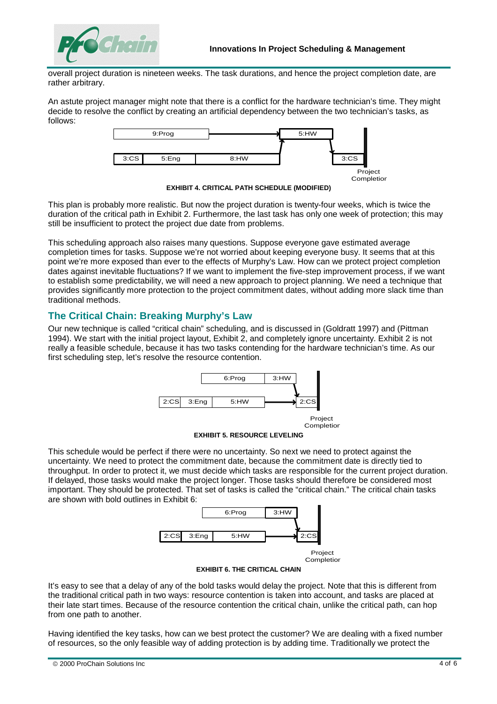

overall project duration is nineteen weeks. The task durations, and hence the project completion date, are rather arbitrary.

An astute project manager might note that there is a conflict for the hardware technician's time. They might decide to resolve the conflict by creating an artificial dependency between the two technician's tasks, as follows:



**EXHIBIT 4. CRITICAL PATH SCHEDULE (MODIFIED)** 

This plan is probably more realistic. But now the project duration is twenty-four weeks, which is twice the duration of the critical path in Exhibit 2. Furthermore, the last task has only one week of protection; this may still be insufficient to protect the project due date from problems.

This scheduling approach also raises many questions. Suppose everyone gave estimated average completion times for tasks. Suppose we're not worried about keeping everyone busy. It seems that at this point we're more exposed than ever to the effects of Murphy's Law. How can we protect project completion dates against inevitable fluctuations? If we want to implement the five-step improvement process, if we want to establish some predictability, we will need a new approach to project planning. We need a technique that provides significantly more protection to the project commitment dates, without adding more slack time than traditional methods.

## **The Critical Chain: Breaking Murphy's Law**

Our new technique is called "critical chain" scheduling, and is discussed in (Goldratt 1997) and (Pittman 1994). We start with the initial project layout, Exhibit 2, and completely ignore uncertainty. Exhibit 2 is not really a feasible schedule, because it has two tasks contending for the hardware technician's time. As our first scheduling step, let's resolve the resource contention.





This schedule would be perfect if there were no uncertainty. So next we need to protect against the uncertainty. We need to protect the commitment date, because the commitment date is directly tied to throughput. In order to protect it, we must decide which tasks are responsible for the current project duration. If delayed, those tasks would make the project longer. Those tasks should therefore be considered most important. They should be protected. That set of tasks is called the "critical chain." The critical chain tasks are shown with bold outlines in Exhibit 6:



**EXHIBIT 6. THE CRITICAL CHAIN** 

It's easy to see that a delay of any of the bold tasks would delay the project. Note that this is different from the traditional critical path in two ways: resource contention is taken into account, and tasks are placed at their late start times. Because of the resource contention the critical chain, unlike the critical path, can hop from one path to another.

Having identified the key tasks, how can we best protect the customer? We are dealing with a fixed number of resources, so the only feasible way of adding protection is by adding time. Traditionally we protect the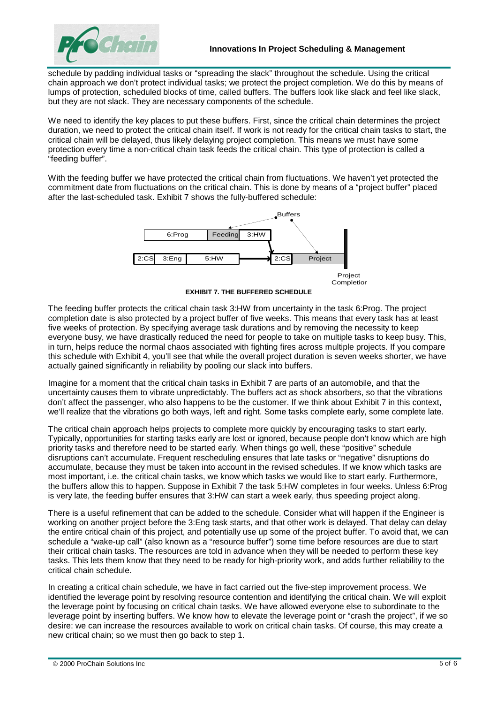

schedule by padding individual tasks or "spreading the slack" throughout the schedule. Using the critical chain approach we don't protect individual tasks; we protect the project completion. We do this by means of lumps of protection, scheduled blocks of time, called buffers. The buffers look like slack and feel like slack, but they are not slack. They are necessary components of the schedule.

We need to identify the key places to put these buffers. First, since the critical chain determines the project duration, we need to protect the critical chain itself. If work is not ready for the critical chain tasks to start, the critical chain will be delayed, thus likely delaying project completion. This means we must have some protection every time a non-critical chain task feeds the critical chain. This type of protection is called a "feeding buffer".

With the feeding buffer we have protected the critical chain from fluctuations. We haven't yet protected the commitment date from fluctuations on the critical chain. This is done by means of a "project buffer" placed after the last-scheduled task. Exhibit 7 shows the fully-buffered schedule:



**EXHIBIT 7. THE BUFFERED SCHEDULE** 

The feeding buffer protects the critical chain task 3:HW from uncertainty in the task 6:Prog. The project completion date is also protected by a project buffer of five weeks. This means that every task has at least five weeks of protection. By specifying average task durations and by removing the necessity to keep everyone busy, we have drastically reduced the need for people to take on multiple tasks to keep busy. This, in turn, helps reduce the normal chaos associated with fighting fires across multiple projects. If you compare this schedule with Exhibit 4, you'll see that while the overall project duration is seven weeks shorter, we have actually gained significantly in reliability by pooling our slack into buffers.

Imagine for a moment that the critical chain tasks in Exhibit 7 are parts of an automobile, and that the uncertainty causes them to vibrate unpredictably. The buffers act as shock absorbers, so that the vibrations don't affect the passenger, who also happens to be the customer. If we think about Exhibit 7 in this context, we'll realize that the vibrations go both ways, left and right. Some tasks complete early, some complete late.

The critical chain approach helps projects to complete more quickly by encouraging tasks to start early. Typically, opportunities for starting tasks early are lost or ignored, because people don't know which are high priority tasks and therefore need to be started early. When things go well, these "positive" schedule disruptions can't accumulate. Frequent rescheduling ensures that late tasks or "negative" disruptions do accumulate, because they must be taken into account in the revised schedules. If we know which tasks are most important, i.e. the critical chain tasks, we know which tasks we would like to start early. Furthermore, the buffers allow this to happen. Suppose in Exhibit 7 the task 5:HW completes in four weeks. Unless 6:Prog is very late, the feeding buffer ensures that 3:HW can start a week early, thus speeding project along.

There is a useful refinement that can be added to the schedule. Consider what will happen if the Engineer is working on another project before the 3:Eng task starts, and that other work is delayed. That delay can delay the entire critical chain of this project, and potentially use up some of the project buffer. To avoid that, we can schedule a "wake-up call" (also known as a "resource buffer") some time before resources are due to start their critical chain tasks. The resources are told in advance when they will be needed to perform these key tasks. This lets them know that they need to be ready for high-priority work, and adds further reliability to the critical chain schedule.

In creating a critical chain schedule, we have in fact carried out the five-step improvement process. We identified the leverage point by resolving resource contention and identifying the critical chain. We will exploit the leverage point by focusing on critical chain tasks. We have allowed everyone else to subordinate to the leverage point by inserting buffers. We know how to elevate the leverage point or "crash the project", if we so desire: we can increase the resources available to work on critical chain tasks. Of course, this may create a new critical chain; so we must then go back to step 1.